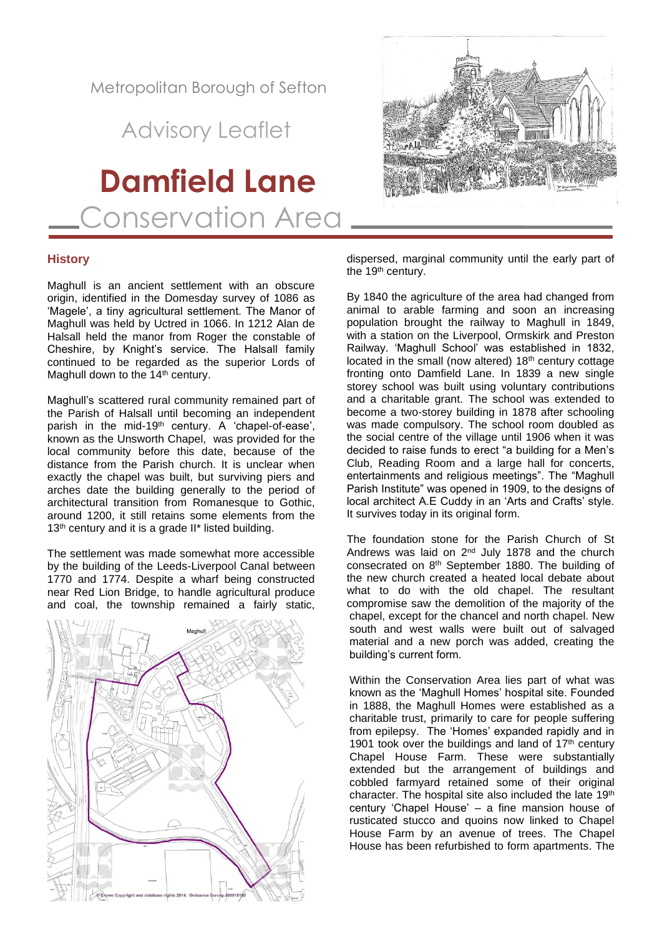Metropolitan Borough of Sefton

Advisory Leaflet

# **Damfield Lane** Conservation Area

# **History**

Maghull is an ancient settlement with an obscure origin, identified in the Domesday survey of 1086 as 'Magele', a tiny agricultural settlement. The Manor of Maghull was held by Uctred in 1066. In 1212 Alan de Halsall held the manor from Roger the constable of Cheshire, by Knight's service. The Halsall family continued to be regarded as the superior Lords of Maghull down to the 14<sup>th</sup> century.

Maghull's scattered rural community remained part of the Parish of Halsall until becoming an independent parish in the mid-19<sup>th</sup> century. A 'chapel-of-ease', known as the Unsworth Chapel, was provided for the local community before this date, because of the distance from the Parish church. It is unclear when exactly the chapel was built, but surviving piers and arches date the building generally to the period of architectural transition from Romanesque to Gothic, around 1200, it still retains some elements from the 13<sup>th</sup> century and it is a grade II<sup>\*</sup> listed building.

The settlement was made somewhat more accessible by the building of the Leeds-Liverpool Canal between 1770 and 1774. Despite a wharf being constructed near Red Lion Bridge, to handle agricultural produce and coal, the township remained a fairly static,





dispersed, marginal community until the early part of the 19<sup>th</sup> century.

By 1840 the agriculture of the area had changed from animal to arable farming and soon an increasing population brought the railway to Maghull in 1849, with a station on the Liverpool. Ormskirk and Preston Railway. 'Maghull School' was established in 1832, located in the small (now altered) 18<sup>th</sup> century cottage fronting onto Damfield Lane. In 1839 a new single storey school was built using voluntary contributions and a charitable grant. The school was extended to become a two-storey building in 1878 after schooling was made compulsory. The school room doubled as the social centre of the village until 1906 when it was decided to raise funds to erect "a building for a Men's Club, Reading Room and a large hall for concerts, entertainments and religious meetings". The "Maghull Parish Institute" was opened in 1909, to the designs of local architect A.E Cuddy in an 'Arts and Crafts' style. It survives today in its original form.

The foundation stone for the Parish Church of St Andrews was laid on 2nd July 1878 and the church consecrated on 8th September 1880. The building of the new church created a heated local debate about what to do with the old chapel. The resultant compromise saw the demolition of the majority of the chapel, except for the chancel and north chapel. New south and west walls were built out of salvaged material and a new porch was added, creating the building's current form.

Within the Conservation Area lies part of what was known as the 'Maghull Homes' hospital site. Founded in 1888, the Maghull Homes were established as a charitable trust, primarily to care for people suffering from epilepsy. The 'Homes' expanded rapidly and in 1901 took over the buildings and land of  $17<sup>th</sup>$  century Chapel House Farm. These were substantially extended but the arrangement of buildings and cobbled farmyard retained some of their original character. The hospital site also included the late 19th century 'Chapel House' – a fine mansion house of rusticated stucco and quoins now linked to Chapel House Farm by an avenue of trees. The Chapel House has been refurbished to form apartments. The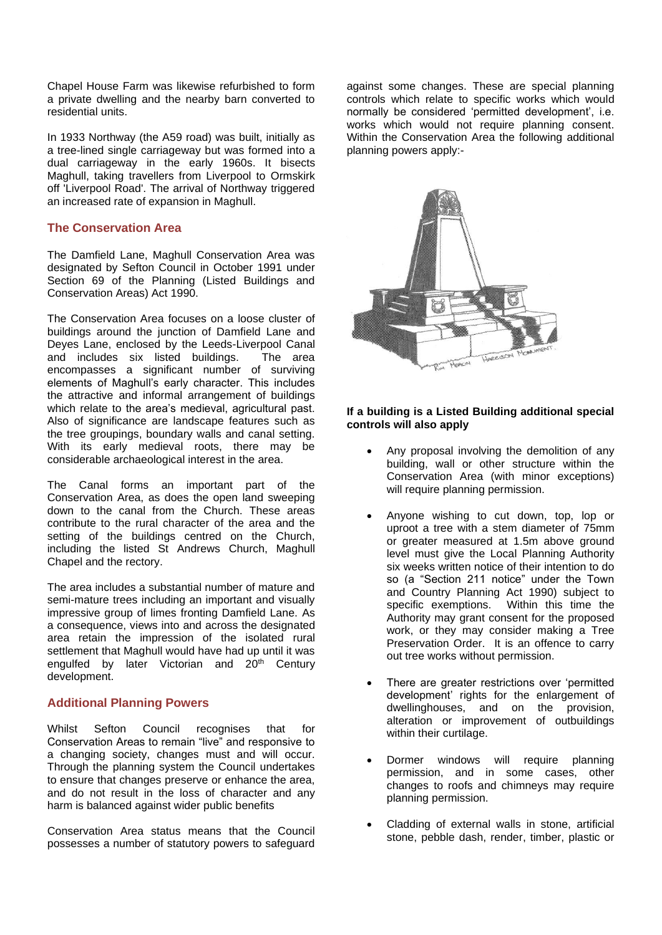Chapel House Farm was likewise refurbished to form a private dwelling and the nearby barn converted to residential units.

In 1933 Northway (the A59 road) was built, initially as a tree-lined single carriageway but was formed into a dual carriageway in the early 1960s. It bisects Maghull, taking travellers from Liverpool to Ormskirk off 'Liverpool Road'. The arrival of Northway triggered an increased rate of expansion in Maghull.

# **The Conservation Area**

The Damfield Lane, Maghull Conservation Area was designated by Sefton Council in October 1991 under Section 69 of the Planning (Listed Buildings and Conservation Areas) Act 1990.

The Conservation Area focuses on a loose cluster of buildings around the junction of Damfield Lane and Deyes Lane, enclosed by the Leeds-Liverpool Canal and includes six listed buildings. The area encompasses a significant number of surviving elements of Maghull's early character. This includes the attractive and informal arrangement of buildings which relate to the area's medieval, agricultural past. Also of significance are landscape features such as the tree groupings, boundary walls and canal setting. With its early medieval roots, there may be considerable archaeological interest in the area.

The Canal forms an important part of the Conservation Area, as does the open land sweeping down to the canal from the Church. These areas contribute to the rural character of the area and the setting of the buildings centred on the Church, including the listed St Andrews Church, Maghull Chapel and the rectory.

The area includes a substantial number of mature and semi-mature trees including an important and visually impressive group of limes fronting Damfield Lane. As a consequence, views into and across the designated area retain the impression of the isolated rural settlement that Maghull would have had up until it was engulfed by later Victorian and 20<sup>th</sup> Century development.

# **Additional Planning Powers**

Whilst Sefton Council recognises that for Conservation Areas to remain "live" and responsive to a changing society, changes must and will occur. Through the planning system the Council undertakes to ensure that changes preserve or enhance the area, and do not result in the loss of character and any harm is balanced against wider public benefits

Conservation Area status means that the Council possesses a number of statutory powers to safeguard against some changes. These are special planning controls which relate to specific works which would normally be considered 'permitted development', i.e. works which would not require planning consent. Within the Conservation Area the following additional planning powers apply:-



## **If a building is a Listed Building additional special controls will also apply**

- Any proposal involving the demolition of any building, wall or other structure within the Conservation Area (with minor exceptions) will require planning permission.
- Anyone wishing to cut down, top, lop or uproot a tree with a stem diameter of 75mm or greater measured at 1.5m above ground level must give the Local Planning Authority six weeks written notice of their intention to do so (a "Section 211 notice" under the Town and Country Planning Act 1990) subject to specific exemptions. Within this time the Authority may grant consent for the proposed work, or they may consider making a Tree Preservation Order. It is an offence to carry out tree works without permission.
- There are greater restrictions over 'permitted development' rights for the enlargement of dwellinghouses, and on the provision, alteration or improvement of outbuildings within their curtilage.
- Dormer windows will require planning permission, and in some cases, other changes to roofs and chimneys may require planning permission.
- Cladding of external walls in stone, artificial stone, pebble dash, render, timber, plastic or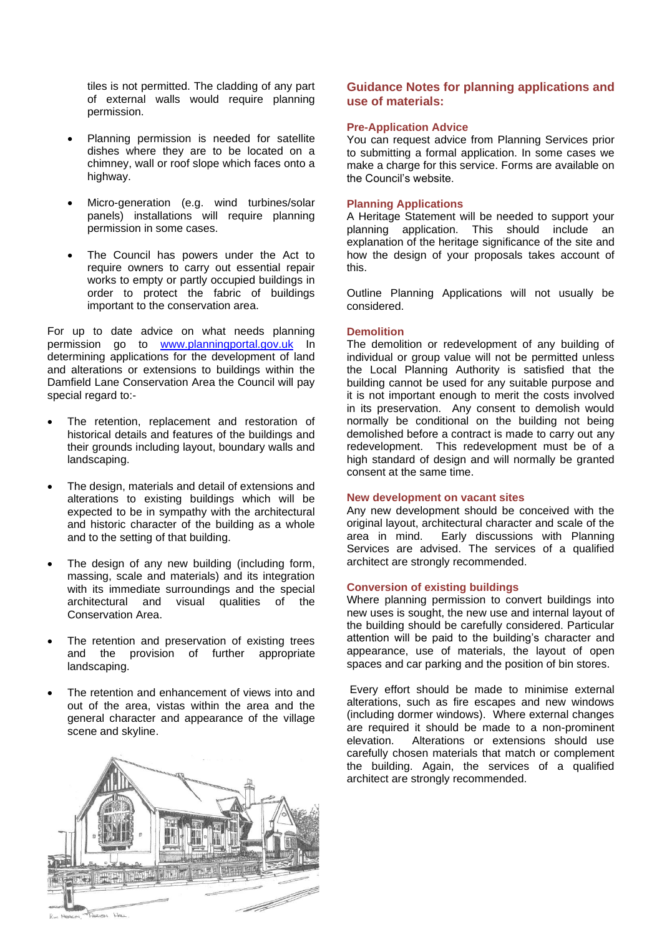tiles is not permitted. The cladding of any part of external walls would require planning permission.

- Planning permission is needed for satellite dishes where they are to be located on a chimney, wall or roof slope which faces onto a highway.
- Micro-generation (e.g. wind turbines/solar panels) installations will require planning permission in some cases.
- The Council has powers under the Act to require owners to carry out essential repair works to empty or partly occupied buildings in order to protect the fabric of buildings important to the conservation area.

For up to date advice on what needs planning permission go to [www.planningportal.gov.uk](http://www.planningportal.gov.uk/) In determining applications for the development of land and alterations or extensions to buildings within the Damfield Lane Conservation Area the Council will pay special regard to:-

- The retention, replacement and restoration of historical details and features of the buildings and their grounds including layout, boundary walls and landscaping.
- The design, materials and detail of extensions and alterations to existing buildings which will be expected to be in sympathy with the architectural and historic character of the building as a whole and to the setting of that building.
- The design of any new building (including form, massing, scale and materials) and its integration with its immediate surroundings and the special architectural and visual qualities of the Conservation Area.
- The retention and preservation of existing trees and the provision of further appropriate landscaping.
- The retention and enhancement of views into and out of the area, vistas within the area and the general character and appearance of the village scene and skyline.



## **Guidance Notes for planning applications and use of materials:**

#### **Pre-Application Advice**

You can request advice from Planning Services prior to submitting a formal application. In some cases we make a charge for this service. Forms are available on the Council's website.

#### **Planning Applications**

A Heritage Statement will be needed to support your planning application. This should include an explanation of the heritage significance of the site and how the design of your proposals takes account of this.

Outline Planning Applications will not usually be considered.

#### **Demolition**

The demolition or redevelopment of any building of individual or group value will not be permitted unless the Local Planning Authority is satisfied that the building cannot be used for any suitable purpose and it is not important enough to merit the costs involved in its preservation. Any consent to demolish would normally be conditional on the building not being demolished before a contract is made to carry out any redevelopment. This redevelopment must be of a high standard of design and will normally be granted consent at the same time.

#### **New development on vacant sites**

Any new development should be conceived with the original layout, architectural character and scale of the area in mind. Early discussions with Planning Services are advised. The services of a qualified architect are strongly recommended.

#### **Conversion of existing buildings**

Where planning permission to convert buildings into new uses is sought, the new use and internal layout of the building should be carefully considered. Particular attention will be paid to the building's character and appearance, use of materials, the layout of open spaces and car parking and the position of bin stores.

Every effort should be made to minimise external alterations, such as fire escapes and new windows (including dormer windows). Where external changes are required it should be made to a non-prominent elevation. Alterations or extensions should use carefully chosen materials that match or complement the building. Again, the services of a qualified architect are strongly recommended.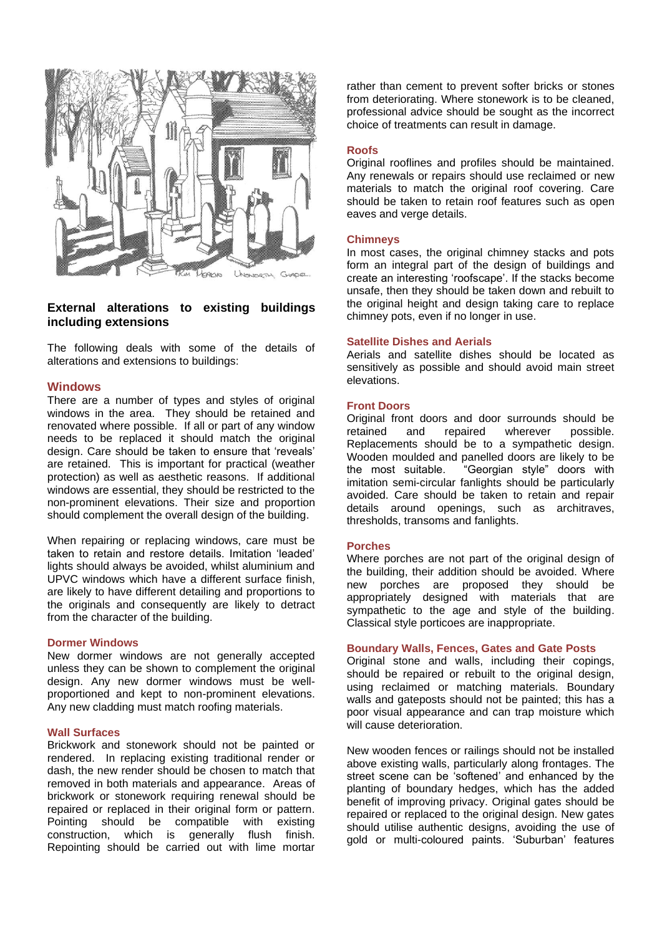

# **External alterations to existing buildings including extensions**

The following deals with some of the details of alterations and extensions to buildings:

## **Windows**

There are a number of types and styles of original windows in the area. They should be retained and renovated where possible. If all or part of any window needs to be replaced it should match the original design. Care should be taken to ensure that 'reveals' are retained. This is important for practical (weather protection) as well as aesthetic reasons. If additional windows are essential, they should be restricted to the non-prominent elevations. Their size and proportion should complement the overall design of the building.

When repairing or replacing windows, care must be taken to retain and restore details. Imitation 'leaded' lights should always be avoided, whilst aluminium and UPVC windows which have a different surface finish, are likely to have different detailing and proportions to the originals and consequently are likely to detract from the character of the building.

#### **Dormer Windows**

New dormer windows are not generally accepted unless they can be shown to complement the original design. Any new dormer windows must be wellproportioned and kept to non-prominent elevations. Any new cladding must match roofing materials.

#### **Wall Surfaces**

Brickwork and stonework should not be painted or rendered. In replacing existing traditional render or dash, the new render should be chosen to match that removed in both materials and appearance. Areas of brickwork or stonework requiring renewal should be repaired or replaced in their original form or pattern. Pointing should be compatible with existing construction, which is generally flush finish. Repointing should be carried out with lime mortar rather than cement to prevent softer bricks or stones from deteriorating. Where stonework is to be cleaned, professional advice should be sought as the incorrect choice of treatments can result in damage.

#### **Roofs**

Original rooflines and profiles should be maintained. Any renewals or repairs should use reclaimed or new materials to match the original roof covering. Care should be taken to retain roof features such as open eaves and verge details.

#### **Chimneys**

In most cases, the original chimney stacks and pots form an integral part of the design of buildings and create an interesting 'roofscape'. If the stacks become unsafe, then they should be taken down and rebuilt to the original height and design taking care to replace chimney pots, even if no longer in use.

#### **Satellite Dishes and Aerials**

Aerials and satellite dishes should be located as sensitively as possible and should avoid main street elevations.

#### **Front Doors**

Original front doors and door surrounds should be retained and repaired wherever possible. Replacements should be to a sympathetic design. Wooden moulded and panelled doors are likely to be the most suitable. "Georgian style" doors with imitation semi-circular fanlights should be particularly avoided. Care should be taken to retain and repair details around openings, such as architraves, thresholds, transoms and fanlights.

### **Porches**

Where porches are not part of the original design of the building, their addition should be avoided. Where new porches are proposed they should be appropriately designed with materials that are sympathetic to the age and style of the building. Classical style porticoes are inappropriate.

#### **Boundary Walls, Fences, Gates and Gate Posts**

Original stone and walls, including their copings, should be repaired or rebuilt to the original design, using reclaimed or matching materials. Boundary walls and gateposts should not be painted; this has a poor visual appearance and can trap moisture which will cause deterioration.

New wooden fences or railings should not be installed above existing walls, particularly along frontages. The street scene can be 'softened' and enhanced by the planting of boundary hedges, which has the added benefit of improving privacy. Original gates should be repaired or replaced to the original design. New gates should utilise authentic designs, avoiding the use of gold or multi-coloured paints. 'Suburban' features